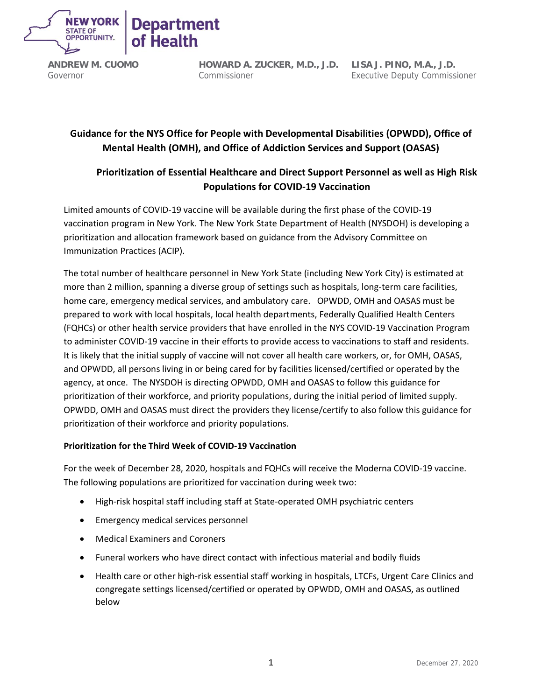

**HOWARD A. ZUCKER, M.D., J.D. LISA J. PINO, M.A., J.D.** Commissioner

Executive Deputy Commissioner

# **Guidance for the NYS Office for People with Developmental Disabilities (OPWDD), Office of Mental Health (OMH), and Office of Addiction Services and Support (OASAS)**

# **Prioritization of Essential Healthcare and Direct Support Personnel as well as High Risk Populations for COVID-19 Vaccination**

Limited amounts of COVID-19 vaccine will be available during the first phase of the COVID-19 vaccination program in New York. The New York State Department of Health (NYSDOH) is developing a prioritization and allocation framework based on guidance from the Advisory Committee on Immunization Practices (ACIP).

The total number of healthcare personnel in New York State (including New York City) is estimated at more than 2 million, spanning a diverse group of settings such as hospitals, long-term care facilities, home care, emergency medical services, and ambulatory care. OPWDD, OMH and OASAS must be prepared to work with local hospitals, local health departments, Federally Qualified Health Centers (FQHCs) or other health service providers that have enrolled in the NYS COVID-19 Vaccination Program to administer COVID-19 vaccine in their efforts to provide access to vaccinations to staff and residents. It is likely that the initial supply of vaccine will not cover all health care workers, or, for OMH, OASAS, and OPWDD, all persons living in or being cared for by facilities licensed/certified or operated by the agency, at once. The NYSDOH is directing OPWDD, OMH and OASAS to follow this guidance for prioritization of their workforce, and priority populations, during the initial period of limited supply. OPWDD, OMH and OASAS must direct the providers they license/certify to also follow this guidance for prioritization of their workforce and priority populations.

# **Prioritization for the Third Week of COVID-19 Vaccination**

For the week of December 28, 2020, hospitals and FQHCs will receive the Moderna COVID-19 vaccine. The following populations are prioritized for vaccination during week two:

- High-risk hospital staff including staff at State-operated OMH psychiatric centers
- Emergency medical services personnel
- Medical Examiners and Coroners
- Funeral workers who have direct contact with infectious material and bodily fluids
- Health care or other high-risk essential staff working in hospitals, LTCFs, Urgent Care Clinics and congregate settings licensed/certified or operated by OPWDD, OMH and OASAS, as outlined below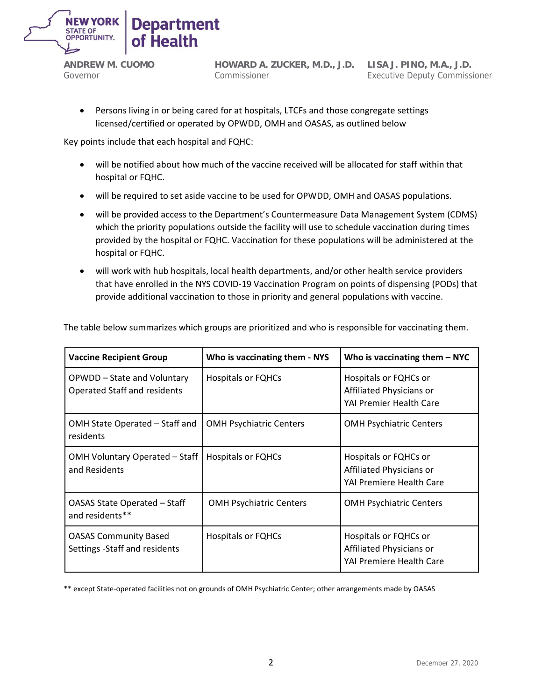

**HOWARD A. ZUCKER, M.D., J.D. LISA J. PINO, M.A., J.D.** Commissioner

Executive Deputy Commissioner

• Persons living in or being cared for at hospitals, LTCFs and those congregate settings licensed/certified or operated by OPWDD, OMH and OASAS, as outlined below

Key points include that each hospital and FQHC:

- will be notified about how much of the vaccine received will be allocated for staff within that hospital or FQHC.
- will be required to set aside vaccine to be used for OPWDD, OMH and OASAS populations.
- will be provided access to the Department's Countermeasure Data Management System (CDMS) which the priority populations outside the facility will use to schedule vaccination during times provided by the hospital or FQHC. Vaccination for these populations will be administered at the hospital or FQHC.
- will work with hub hospitals, local health departments, and/or other health service providers that have enrolled in the NYS COVID-19 Vaccination Program on points of dispensing (PODs) that provide additional vaccination to those in priority and general populations with vaccine.

| <b>Vaccine Recipient Group</b>                                     | Who is vaccinating them - NYS  | Who is vaccinating them $-$ NYC                                               |
|--------------------------------------------------------------------|--------------------------------|-------------------------------------------------------------------------------|
| OPWDD - State and Voluntary<br><b>Operated Staff and residents</b> | <b>Hospitals or FQHCs</b>      | Hospitals or FQHCs or<br>Affiliated Physicians or<br>YAI Premier Health Care  |
| OMH State Operated - Staff and<br>residents                        | <b>OMH Psychiatric Centers</b> | <b>OMH Psychiatric Centers</b>                                                |
| OMH Voluntary Operated - Staff<br>and Residents                    | <b>Hospitals or FQHCs</b>      | Hospitals or FQHCs or<br>Affiliated Physicians or<br>YAI Premiere Health Care |
| OASAS State Operated - Staff<br>and residents**                    | <b>OMH Psychiatric Centers</b> | <b>OMH Psychiatric Centers</b>                                                |
| <b>OASAS Community Based</b><br>Settings - Staff and residents     | <b>Hospitals or FQHCs</b>      | Hospitals or FQHCs or<br>Affiliated Physicians or<br>YAI Premiere Health Care |

The table below summarizes which groups are prioritized and who is responsible for vaccinating them.

\*\* except State-operated facilities not on grounds of OMH Psychiatric Center; other arrangements made by OASAS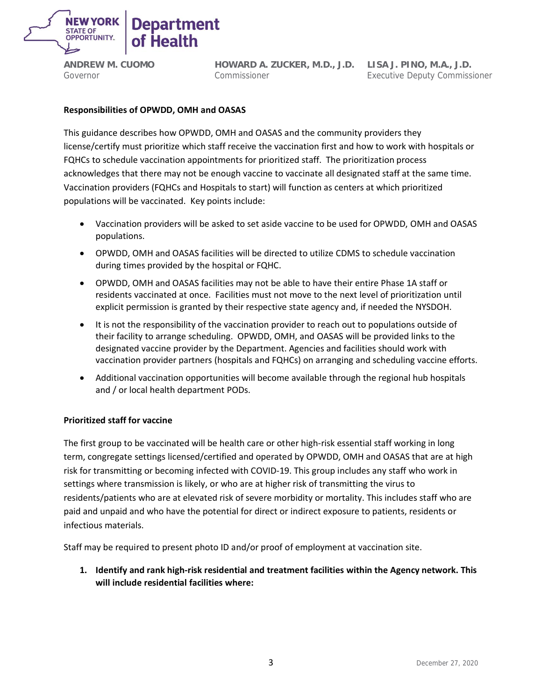

**HOWARD A. ZUCKER, M.D., J.D. LISA J. PINO, M.A., J.D.** Commissioner

Executive Deputy Commissioner

# **Responsibilities of OPWDD, OMH and OASAS**

This guidance describes how OPWDD, OMH and OASAS and the community providers they license/certify must prioritize which staff receive the vaccination first and how to work with hospitals or FQHCs to schedule vaccination appointments for prioritized staff. The prioritization process acknowledges that there may not be enough vaccine to vaccinate all designated staff at the same time. Vaccination providers (FQHCs and Hospitals to start) will function as centers at which prioritized populations will be vaccinated. Key points include:

- Vaccination providers will be asked to set aside vaccine to be used for OPWDD, OMH and OASAS populations.
- OPWDD, OMH and OASAS facilities will be directed to utilize CDMS to schedule vaccination during times provided by the hospital or FQHC.
- OPWDD, OMH and OASAS facilities may not be able to have their entire Phase 1A staff or residents vaccinated at once. Facilities must not move to the next level of prioritization until explicit permission is granted by their respective state agency and, if needed the NYSDOH.
- It is not the responsibility of the vaccination provider to reach out to populations outside of their facility to arrange scheduling. OPWDD, OMH, and OASAS will be provided links to the designated vaccine provider by the Department. Agencies and facilities should work with vaccination provider partners (hospitals and FQHCs) on arranging and scheduling vaccine efforts.
- Additional vaccination opportunities will become available through the regional hub hospitals and / or local health department PODs.

# **Prioritized staff for vaccine**

The first group to be vaccinated will be health care or other high-risk essential staff working in long term, congregate settings licensed/certified and operated by OPWDD, OMH and OASAS that are at high risk for transmitting or becoming infected with COVID-19. This group includes any staff who work in settings where transmission is likely, or who are at higher risk of transmitting the virus to residents/patients who are at elevated risk of severe morbidity or mortality. This includes staff who are paid and unpaid and who have the potential for direct or indirect exposure to patients, residents or infectious materials.

Staff may be required to present photo ID and/or proof of employment at vaccination site.

**1. Identify and rank high-risk residential and treatment facilities within the Agency network. This will include residential facilities where:**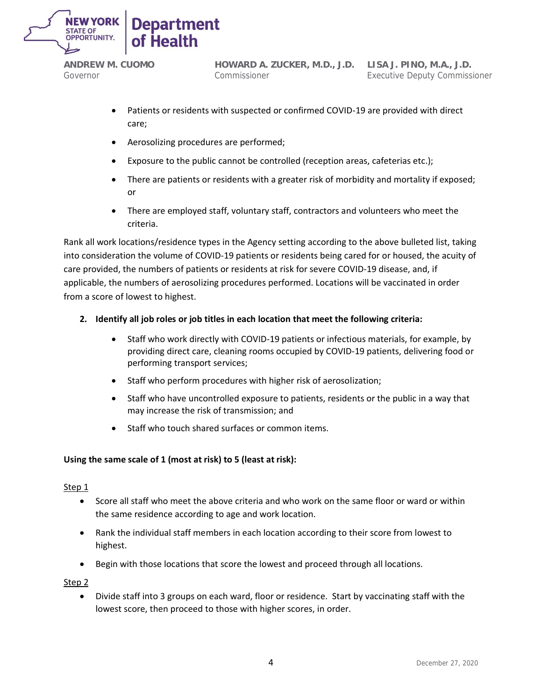

**HOWARD A. ZUCKER, M.D., J.D. LISA J. PINO, M.A., J.D.** Commissioner

Executive Deputy Commissioner

- Patients or residents with suspected or confirmed COVID-19 are provided with direct care;
- Aerosolizing procedures are performed;
- Exposure to the public cannot be controlled (reception areas, cafeterias etc.);
- There are patients or residents with a greater risk of morbidity and mortality if exposed; or
- There are employed staff, voluntary staff, contractors and volunteers who meet the criteria.

Rank all work locations/residence types in the Agency setting according to the above bulleted list, taking into consideration the volume of COVID-19 patients or residents being cared for or housed, the acuity of care provided, the numbers of patients or residents at risk for severe COVID-19 disease, and, if applicable, the numbers of aerosolizing procedures performed. Locations will be vaccinated in order from a score of lowest to highest.

# **2. Identify all job roles or job titles in each location that meet the following criteria:**

- Staff who work directly with COVID-19 patients or infectious materials, for example, by providing direct care, cleaning rooms occupied by COVID-19 patients, delivering food or performing transport services;
- Staff who perform procedures with higher risk of aerosolization;
- Staff who have uncontrolled exposure to patients, residents or the public in a way that may increase the risk of transmission; and
- Staff who touch shared surfaces or common items.

# **Using the same scale of 1 (most at risk) to 5 (least at risk):**

#### Step 1

- Score all staff who meet the above criteria and who work on the same floor or ward or within the same residence according to age and work location.
- Rank the individual staff members in each location according to their score from lowest to highest.
- Begin with those locations that score the lowest and proceed through all locations.

Step 2

• Divide staff into 3 groups on each ward, floor or residence. Start by vaccinating staff with the lowest score, then proceed to those with higher scores, in order.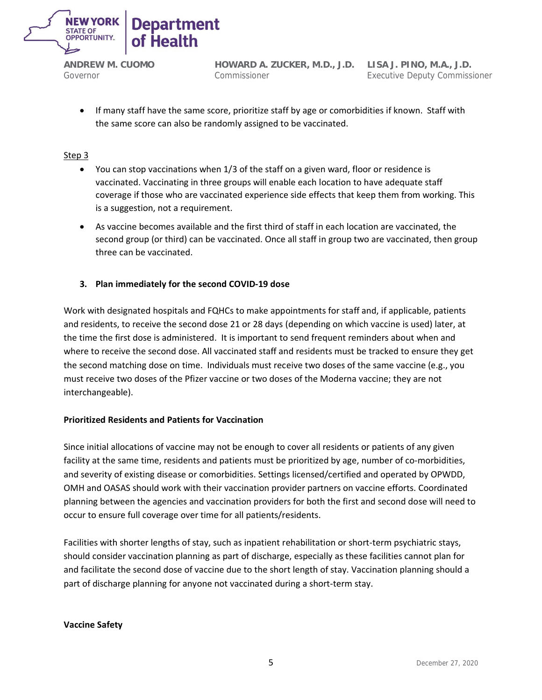

**HOWARD A. ZUCKER, M.D., J.D. LISA J. PINO, M.A., J.D.** Commissioner

Executive Deputy Commissioner

• If many staff have the same score, prioritize staff by age or comorbidities if known. Staff with the same score can also be randomly assigned to be vaccinated.

# Step 3

- You can stop vaccinations when 1/3 of the staff on a given ward, floor or residence is vaccinated. Vaccinating in three groups will enable each location to have adequate staff coverage if those who are vaccinated experience side effects that keep them from working. This is a suggestion, not a requirement.
- As vaccine becomes available and the first third of staff in each location are vaccinated, the second group (or third) can be vaccinated. Once all staff in group two are vaccinated, then group three can be vaccinated.

# **3. Plan immediately for the second COVID-19 dose**

Work with designated hospitals and FQHCs to make appointments for staff and, if applicable, patients and residents, to receive the second dose 21 or 28 days (depending on which vaccine is used) later, at the time the first dose is administered. It is important to send frequent reminders about when and where to receive the second dose. All vaccinated staff and residents must be tracked to ensure they get the second matching dose on time. Individuals must receive two doses of the same vaccine (e.g., you must receive two doses of the Pfizer vaccine or two doses of the Moderna vaccine; they are not interchangeable).

# **Prioritized Residents and Patients for Vaccination**

Since initial allocations of vaccine may not be enough to cover all residents or patients of any given facility at the same time, residents and patients must be prioritized by age, number of co-morbidities, and severity of existing disease or comorbidities. Settings licensed/certified and operated by OPWDD, OMH and OASAS should work with their vaccination provider partners on vaccine efforts. Coordinated planning between the agencies and vaccination providers for both the first and second dose will need to occur to ensure full coverage over time for all patients/residents.

Facilities with shorter lengths of stay, such as inpatient rehabilitation or short-term psychiatric stays, should consider vaccination planning as part of discharge, especially as these facilities cannot plan for and facilitate the second dose of vaccine due to the short length of stay. Vaccination planning should a part of discharge planning for anyone not vaccinated during a short-term stay.

**Vaccine Safety**